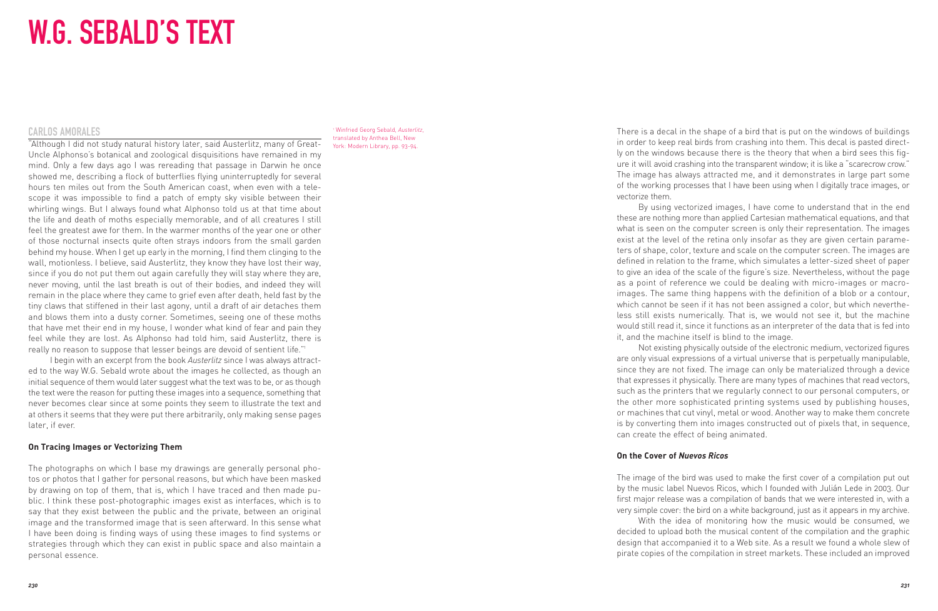# W.G. SEBALD'S TEXT

#### CARLOS AMORALES

"Although I did not study natural history later, said Austerlitz, many of Great-Uncle Alphonso's botanical and zoological disquisitions have remained in my mind. Only a few days ago I was rereading that passage in Darwin he once showed me, describing a flock of butterflies flying uninterruptedly for several hours ten miles out from the South American coast, when even with a telescope it was impossible to find a patch of empty sky visible between their whirling wings. But I always found what Alphonso told us at that time about the life and death of moths especially memorable, and of all creatures I still feel the greatest awe for them. In the warmer months of the year one or other of those nocturnal insects quite often strays indoors from the small garden behind my house. When I get up early in the morning, I find them clinging to the wall, motionless. I believe, said Austerlitz, they know they have lost their way, since if you do not put them out again carefully they will stay where they are, never moving, until the last breath is out of their bodies, and indeed they will remain in the place where they came to grief even after death, held fast by the tiny claws that stiffened in their last agony, until a draft of air detaches them and blows them into a dusty corner. Sometimes, seeing one of these moths that have met their end in my house, I wonder what kind of fear and pain they feel while they are lost. As Alphonso had told him, said Austerlitz, there is really no reason to suppose that lesser beings are devoid of sentient life."<sup>1</sup>

I begin with an excerpt from the book *Austerlitz* since I was always attracted to the way W.G. Sebald wrote about the images he collected, as though an initial sequence of them would later suggest what the text was to be, or as though the text were the reason for putting these images into a sequence, something that never becomes clear since at some points they seem to illustrate the text and at others it seems that they were put there arbitrarily, only making sense pages later, if ever.

### **On Tracing Images or Vectorizing Them**

The photographs on which I base my drawings are generally personal photos or photos that I gather for personal reasons, but which have been masked by drawing on top of them, that is, which I have traced and then made public. I think these post-photographic images exist as interfaces, which is to say that they exist between the public and the private, between an original image and the transformed image that is seen afterward. In this sense what I have been doing is finding ways of using these images to find systems or strategies through which they can exist in public space and also maintain a personal essence.

<sup>1</sup> Winfried Georg Sebald, *Austerlitz*, translated by Anthea Bell, New York: Modern Library, pp. 93-94.

There is a decal in the shape of a bird that is put on the windows of buildings in order to keep real birds from crashing into them. This decal is pasted directly on the windows because there is the theory that when a bird sees this figure it will avoid crashing into the transparent window; it is like a "scarecrow crow." The image has always attracted me, and it demonstrates in large part some of the working processes that I have been using when I digitally trace images, or vectorize them.

By using vectorized images, I have come to understand that in the end these are nothing more than applied Cartesian mathematical equations, and that what is seen on the computer screen is only their representation. The images exist at the level of the retina only insofar as they are given certain parame ters of shape, color, texture and scale on the computer screen. The images are defined in relation to the frame, which simulates a letter-sized sheet of paper to give an idea of the scale of the figure's size. Nevertheless, without the page as a point of reference we could be dealing with micro-images or macroimages. The same thing happens with the definition of a blob or a contour, which cannot be seen if it has not been assigned a color, but which nevertheless still exists numerically. That is, we would not see it, but the machine would still read it, since it functions as an interpreter of the data that is fed into it, and the machine itself is blind to the image.

Not existing physically outside of the electronic medium, vectorized figures are only visual expressions of a virtual universe that is perpetually manipulable, since they are not fixed. The image can only be materialized through a device that expresses it physically. There are many types of machines that read vectors, such as the printers that we regularly connect to our personal computers, or the other more sophisticated printing systems used by publishing houses, or machines that cut vinyl, metal or wood. Another way to make them concrete is by converting them into images constructed out of pixels that, in sequence, can create the effect of being animated.

### **On the Cover of** *Nuevos Ricos*

The image of the bird was used to make the first cover of a compilation put out by the music label Nuevos Ricos, which I founded with Julián Lede in 2003. Our first major release was a compilation of bands that we were interested in, with a very simple cover: the bird on a white background, just as it appears in my archive.

With the idea of monitoring how the music would be consumed, we decided to upload both the musical content of the compilation and the graphic design that accompanied it to a Web site. As a result we found a whole slew of pirate copies of the compilation in street markets. These included an improved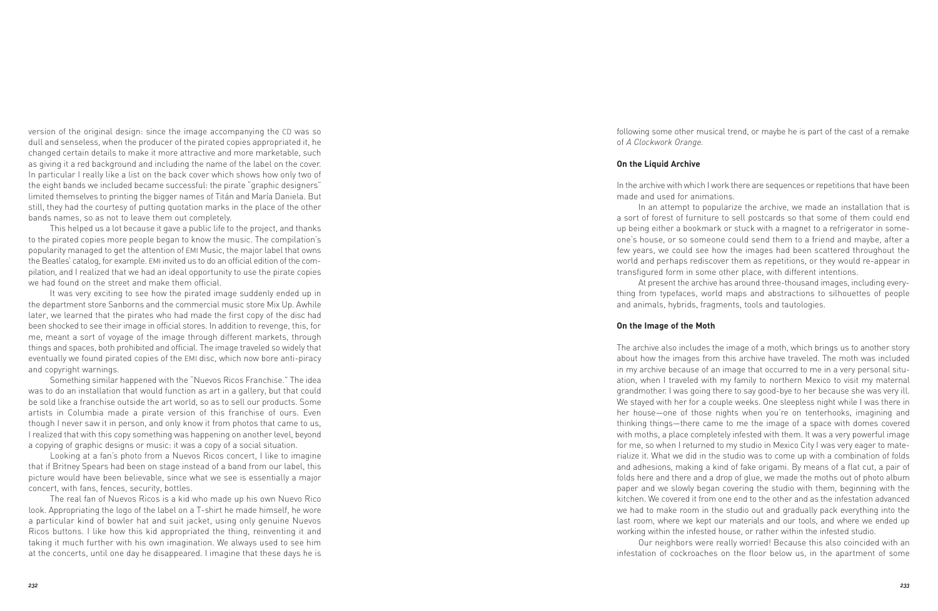version of the original design: since the image accompanying the CD was so dull and senseless, when the producer of the pirated copies appropriated it, he changed certain details to make it more attractive and more marketable, such as giving it a red background and including the name of the label on the cover. In particular I really like a list on the back cover which shows how only two of the eight bands we included became successful: the pirate "graphic designers" limited themselves to printing the bigger names of Titán and María Daniela. But still, they had the courtesy of putting quotation marks in the place of the other bands names, so as not to leave them out completely.

This helped us a lot because it gave a public life to the project, and thanks to the pirated copies more people began to know the music. The compilation's popularity managed to get the attention of EMI Music, the major label that owns the Beatles' catalog, for example. EMI invited us to do an official edition of the com pilation, and I realized that we had an ideal opportunity to use the pirate copies we had found on the street and make them official.

It was very exciting to see how the pirated image suddenly ended up in the department store Sanborns and the commercial music store Mix Up. Awhile later, we learned that the pirates who had made the first copy of the disc had been shocked to see their image in official stores. In addition to revenge, this, for me, meant a sort of voyage of the image through different markets, through things and spaces, both prohibited and official. The image traveled so widely that eventually we found pirated copies of the EMI disc, which now bore anti-piracy and copyright warnings.

Something similar happened with the "Nuevos Ricos Franchise." The idea was to do an installation that would function as art in a gallery, but that could be sold like a franchise outside the art world, so as to sell our products. Some artists in Columbia made a pirate version of this franchise of ours. Even though I never saw it in person, and only know it from photos that came to us, I realized that with this copy something was happening on another level, beyond a copying of graphic designs or music: it was a copy of a social situation.

Looking at a fan's photo from a Nuevos Ricos concert, I like to imagine that if Britney Spears had been on stage instead of a band from our label, this picture would have been believable, since what we see is essentially a major concert, with fans, fences, security, bottles.

The real fan of Nuevos Ricos is a kid who made up his own Nuevo Rico look. Appropriating the logo of the label on a T-shirt he made himself, he wore a particular kind of bowler hat and suit jacket, using only genuine Nuevos Ricos buttons. I like how this kid appropriated the thing, reinventing it and taking it much further with his own imagination. We always used to see him at the concerts, until one day he disappeared. I imagine that these days he is following some other musical trend, or maybe he is part of the cast of a remake of *A Clockwork Orange.*

#### **On the Liquid Archive**

In the archive with which I work there are sequences or repetitions that have been made and used for animations.

In an attempt to popularize the archive, we made an installation that is a sort of forest of furniture to sell postcards so that some of them could end up being either a bookmark or stuck with a magnet to a refrigerator in someone's house, or so someone could send them to a friend and maybe, after a few years, we could see how the images had been scattered throughout the world and perhaps rediscover them as repetitions, or they would re-appear in transfigured form in some other place, with different intentions.

At present the archive has around three-thousand images, including everything from typefaces, world maps and abstractions to silhouettes of people and animals, hybrids, fragments, tools and tautologies.

## **On the Image of the Moth**

The archive also includes the image of a moth, which brings us to another story about how the images from this archive have traveled. The moth was included in my archive because of an image that occurred to me in a very personal situation, when I traveled with my family to northern Mexico to visit my maternal grandmother. I was going there to say good-bye to her because she was very ill. We stayed with her for a couple weeks. One sleepless night while I was there in her house—one of those nights when you're on tenterhooks, imagining and thinking things—there came to me the image of a space with domes covered with moths, a place completely infested with them. It was a very powerful image for me, so when I returned to my studio in Mexico City I was very eager to materialize it. What we did in the studio was to come up with a combination of folds and adhesions, making a kind of fake origami. By means of a flat cut, a pair of folds here and there and a drop of glue, we made the moths out of photo album paper and we slowly began covering the studio with them, beginning with the kitchen. We covered it from one end to the other and as the infestation advanced we had to make room in the studio out and gradually pack everything into the last room, where we kept our materials and our tools, and where we ended up working within the infested house, or rather within the infested studio.

Our neighbors were really worried! Because this also coincided with an infestation of cockroaches on the floor below us, in the apartment of some